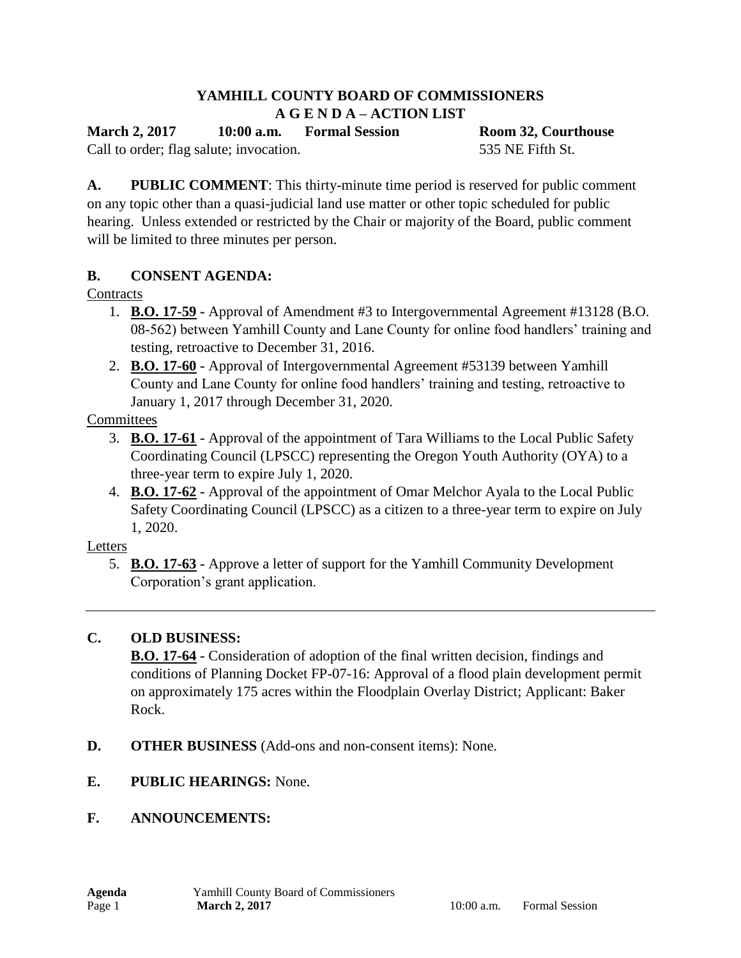## **YAMHILL COUNTY BOARD OF COMMISSIONERS A G E N D A – ACTION LIST**

**March 2, 2017 10:00 a.m. Formal Session Room 32, Courthouse**

Call to order; flag salute; invocation. 535 NE Fifth St.

**A. PUBLIC COMMENT**: This thirty-minute time period is reserved for public comment on any topic other than a quasi-judicial land use matter or other topic scheduled for public hearing. Unless extended or restricted by the Chair or majority of the Board, public comment will be limited to three minutes per person.

## **B. CONSENT AGENDA:**

## **Contracts**

- 1. **B.O. 17-59 -** Approval of Amendment #3 to Intergovernmental Agreement #13128 (B.O. 08-562) between Yamhill County and Lane County for online food handlers' training and testing, retroactive to December 31, 2016.
- 2. **B.O. 17-60 -** Approval of Intergovernmental Agreement #53139 between Yamhill County and Lane County for online food handlers' training and testing, retroactive to January 1, 2017 through December 31, 2020.

**Committees** 

- 3. **B.O. 17-61 -** Approval of the appointment of Tara Williams to the Local Public Safety Coordinating Council (LPSCC) representing the Oregon Youth Authority (OYA) to a three-year term to expire July 1, 2020.
- 4. **B.O. 17-62 -** Approval of the appointment of Omar Melchor Ayala to the Local Public Safety Coordinating Council (LPSCC) as a citizen to a three-year term to expire on July 1, 2020.

Letters

5. **B.O. 17-63 -** Approve a letter of support for the Yamhill Community Development Corporation's grant application.

## **C. OLD BUSINESS:**

**B.O. 17-64 -** Consideration of adoption of the final written decision, findings and conditions of Planning Docket FP-07-16: Approval of a flood plain development permit on approximately 175 acres within the Floodplain Overlay District; Applicant: Baker Rock.

- **D. OTHER BUSINESS** (Add-ons and non-consent items): None.
- **E. PUBLIC HEARINGS:** None.
- **F. ANNOUNCEMENTS:**